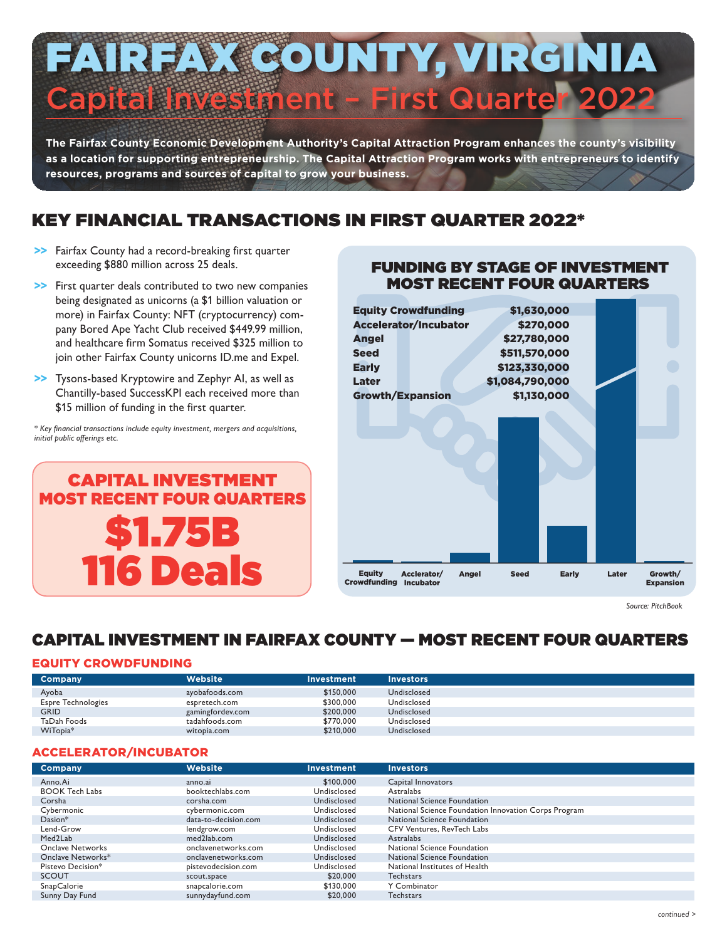# FAIRFAX COUNTY, VIRGINIA apital Investment - First Quarter 202

**The Fairfax County Economic Development Authority's Capital Attraction Program enhances the county's visibility as a location for supporting entrepreneurship. The Capital Attraction Program works with entrepreneurs to identify resources, programs and sources of capital to grow your business.**

# KEY FINANCIAL TRANSACTIONS IN FIRST QUARTER 2022\*

- >> Fairfax County had a record-breaking first quarter exceeding \$880 million across 25 deals.
- >> First quarter deals contributed to two new companies being designated as unicorns (a \$1 billion valuation or more) in Fairfax County: NFT (cryptocurrency) company Bored Ape Yacht Club received \$449.99 million, and healthcare firm Somatus received \$325 million to join other Fairfax County unicorns ID.me and Expel.
- >> Tysons-based Kryptowire and Zephyr AI, as well as Chantilly-based SuccessKPI each received more than \$15 million of funding in the first quarter.

*\* Key financial transactions include equity investment, mergers and acquisitions, initial public offerings etc.*





FUNDING BY STAGE OF INVESTMENT

*Source: PitchBook*

## CAPITAL INVESTMENT IN FAIRFAX COUNTY — MOST RECENT FOUR QUARTERS

#### EQUITY CROWDFUNDING

| <b>Company</b>            | Website          | Investment | <b>Investors</b> |
|---------------------------|------------------|------------|------------------|
| Ayoba                     | ayobafoods.com   | \$150,000  | Undisclosed      |
| <b>Espre Technologies</b> | espretech.com    | \$300,000  | Undisclosed      |
| <b>GRID</b>               | gamingfordev.com | \$200,000  | Undisclosed      |
| TaDah Foods               | tadahfoods.com   | \$770,000  | Undisclosed      |
| WiTopia*                  | witopia.com      | \$210,000  | Undisclosed      |

#### ACCELERATOR/INCUBATOR

| Company               | <b>Website</b>       | Investment  | <b>Investors</b>                                     |
|-----------------------|----------------------|-------------|------------------------------------------------------|
| Anno.Ai               | anno.ai              | \$100,000   | Capital Innovators                                   |
| <b>BOOK Tech Labs</b> | booktechlabs.com     | Undisclosed | Astralabs                                            |
| Corsha                | corsha.com           | Undisclosed | National Science Foundation                          |
| Cybermonic            | cybermonic.com       | Undisclosed | National Science Foundation Innovation Corps Program |
| $Dasion*$             | data-to-decision.com | Undisclosed | National Science Foundation                          |
| Lend-Grow             | lendgrow.com         | Undisclosed | CFV Ventures, RevTech Labs                           |
| Med <sub>2</sub> Lab  | med2lab.com          | Undisclosed | Astralabs                                            |
| Onclave Networks      | onclavenetworks.com  | Undisclosed | National Science Foundation                          |
| Onclave Networks*     | onclavenetworks.com  | Undisclosed | National Science Foundation                          |
| Pistevo Decision*     | pistevodecision.com  | Undisclosed | National Institutes of Health                        |
| <b>SCOUT</b>          | scout.space          | \$20,000    | <b>Techstars</b>                                     |
| SnapCalorie           | snapcalorie.com      | \$130,000   | Y Combinator                                         |
| Sunny Day Fund        | sunnydayfund.com     | \$20,000    | <b>Techstars</b>                                     |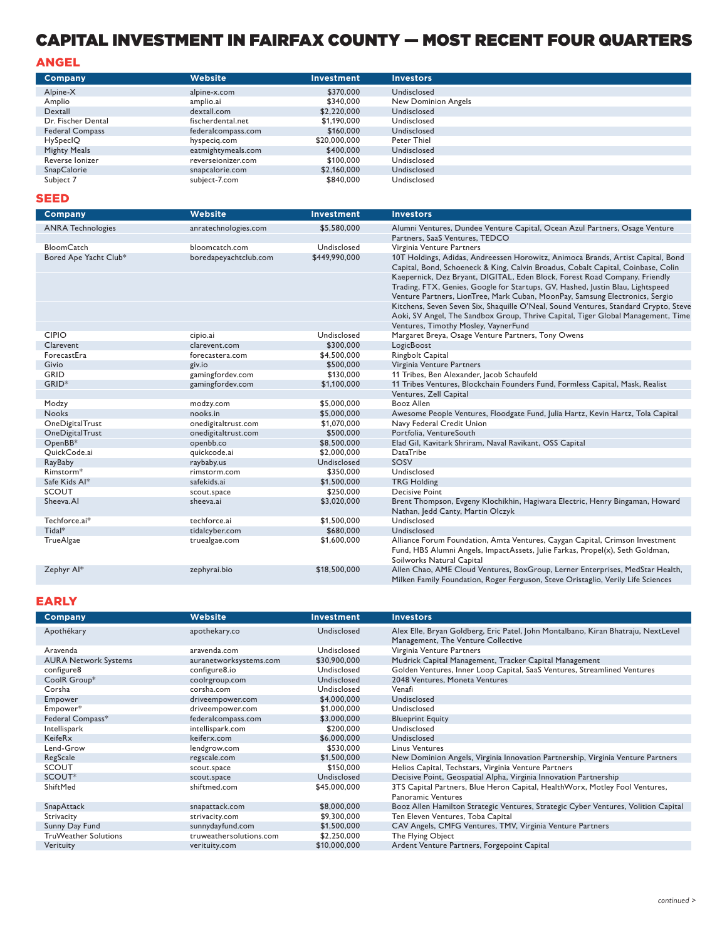## CAPITAL INVESTMENT IN FAIRFAX COUNTY — MOST RECENT FOUR QUARTERS

#### ANGEL

| Company                | <b>Website</b>     | <b>Investment</b> | <b>Investors</b>    |
|------------------------|--------------------|-------------------|---------------------|
| Alpine-X               | alpine-x.com       | \$370,000         | Undisclosed         |
| Amplio                 | amplio.ai          | \$340,000         | New Dominion Angels |
| Dextall                | dextall.com        | \$2,220,000       | Undisclosed         |
| Dr. Fischer Dental     | fischerdental.net  | \$1.190.000       | Undisclosed         |
| <b>Federal Compass</b> | federalcompass.com | \$160,000         | Undisclosed         |
| HySpecIQ               | hyspecig.com       | \$20,000,000      | Peter Thiel         |
| Mighty Meals           | eatmightymeals.com | \$400,000         | Undisclosed         |
| Reverse Ionizer        | reverseionizer.com | \$100,000         | Undisclosed         |
| <b>SnapCalorie</b>     | snapcalorie.com    | \$2,160,000       | Undisclosed         |
| Subject 7              | subject-7.com      | \$840,000         | Undisclosed         |

#### SEED

| <b>Company</b>           | Website               | Investment    | <b>Investors</b>                                                                                                                                                                           |
|--------------------------|-----------------------|---------------|--------------------------------------------------------------------------------------------------------------------------------------------------------------------------------------------|
| <b>ANRA Technologies</b> | anratechnologies.com  | \$5,580,000   | Alumni Ventures, Dundee Venture Capital, Ocean Azul Partners, Osage Venture                                                                                                                |
|                          |                       |               | Partners, SaaS Ventures, TEDCO                                                                                                                                                             |
| <b>BloomCatch</b>        | bloomcatch.com        | Undisclosed   | Virginia Venture Partners                                                                                                                                                                  |
| Bored Ape Yacht Club*    | boredapeyachtclub.com | \$449,990,000 | 10T Holdings, Adidas, Andreessen Horowitz, Animoca Brands, Artist Capital, Bond                                                                                                            |
|                          |                       |               | Capital, Bond, Schoeneck & King, Calvin Broadus, Cobalt Capital, Coinbase, Colin                                                                                                           |
|                          |                       |               | Kaepernick, Dez Bryant, DIGITAL, Eden Block, Forest Road Company, Friendly                                                                                                                 |
|                          |                       |               | Trading, FTX, Genies, Google for Startups, GV, Hashed, Justin Blau, Lightspeed                                                                                                             |
|                          |                       |               | Venture Partners, LionTree, Mark Cuban, MoonPay, Samsung Electronics, Sergio                                                                                                               |
|                          |                       |               | Kitchens, Seven Seven Six, Shaquille O'Neal, Sound Ventures, Standard Crypto, Steve                                                                                                        |
|                          |                       |               | Aoki, SV Angel, The Sandbox Group, Thrive Capital, Tiger Global Management, Time                                                                                                           |
|                          |                       |               | Ventures, Timothy Mosley, VaynerFund                                                                                                                                                       |
| <b>CIPIO</b>             | cipio.ai              | Undisclosed   | Margaret Breya, Osage Venture Partners, Tony Owens                                                                                                                                         |
| Clarevent                | clarevent.com         | \$300,000     | LogicBoost                                                                                                                                                                                 |
| ForecastEra              | forecastera.com       | \$4,500,000   | Ringbolt Capital                                                                                                                                                                           |
| Givio                    | giv.io                | \$500,000     | Virginia Venture Partners                                                                                                                                                                  |
| <b>GRID</b>              | gamingfordev.com      | \$130,000     | 11 Tribes, Ben Alexander, Jacob Schaufeld                                                                                                                                                  |
| GRID <sup>*</sup>        | gamingfordev.com      | \$1,100,000   | 11 Tribes Ventures, Blockchain Founders Fund, Formless Capital, Mask, Realist                                                                                                              |
|                          |                       |               | Ventures, Zell Capital                                                                                                                                                                     |
| Modzy                    | modzy.com             | \$5,000,000   | Booz Allen                                                                                                                                                                                 |
| <b>Nooks</b>             | nooks.in              | \$5,000,000   | Awesome People Ventures, Floodgate Fund, Julia Hartz, Kevin Hartz, Tola Capital                                                                                                            |
| <b>OneDigitalTrust</b>   | onedigitaltrust.com   | \$1,070,000   | Navy Federal Credit Union                                                                                                                                                                  |
| <b>OneDigitalTrust</b>   | onedigitaltrust.com   | \$500,000     | Portfolia, VentureSouth                                                                                                                                                                    |
| OpenBB*                  | openbb.co             | \$8,500,000   | Elad Gil, Kavitark Shriram, Naval Ravikant, OSS Capital                                                                                                                                    |
| QuickCode.ai             | quickcode.ai          | \$2,000,000   | DataTribe                                                                                                                                                                                  |
| RayBaby                  | raybaby.us            | Undisclosed   | SOSV                                                                                                                                                                                       |
| Rimstorm*                | rimstorm.com          | \$350,000     | Undisclosed                                                                                                                                                                                |
| Safe Kids Al*            | safekids.ai           | \$1,500,000   | <b>TRG Holding</b>                                                                                                                                                                         |
| <b>SCOUT</b>             | scout.space           | \$250,000     | <b>Decisive Point</b>                                                                                                                                                                      |
| Sheeva.AI                | sheeva.ai             | \$3,020,000   | Brent Thompson, Evgeny Klochikhin, Hagiwara Electric, Henry Bingaman, Howard                                                                                                               |
|                          |                       |               | Nathan, Jedd Canty, Martin Olczyk                                                                                                                                                          |
| Techforce.ai*            | techforce.ai          | \$1,500,000   | Undisclosed                                                                                                                                                                                |
| Tidal*                   | tidalcyber.com        | \$680,000     | Undisclosed                                                                                                                                                                                |
| <b>TrueAlgae</b>         | truealgae.com         | \$1,600,000   | Alliance Forum Foundation, Amta Ventures, Caygan Capital, Crimson Investment<br>Fund, HBS Alumni Angels, ImpactAssets, Julie Farkas, Propel(x), Seth Goldman,<br>Soilworks Natural Capital |
| Zephyr Al*               | zephyrai.bio          | \$18,500,000  | Allen Chao, AME Cloud Ventures, BoxGroup, Lerner Enterprises, MedStar Health,                                                                                                              |
|                          |                       |               | Milken Family Foundation, Roger Ferguson, Steve Oristaglio, Verily Life Sciences                                                                                                           |

#### EARLY

| Company                     | <b>Website</b>          | <b>Investment</b> | <b>Investors</b>                                                                   |
|-----------------------------|-------------------------|-------------------|------------------------------------------------------------------------------------|
| Apothékary                  | apothekary.co           | Undisclosed       | Alex Elle, Bryan Goldberg, Eric Patel, John Montalbano, Kiran Bhatraju, NextLevel  |
|                             |                         |                   | Management, The Venture Collective                                                 |
| Aravenda                    | aravenda.com            | Undisclosed       | Virginia Venture Partners                                                          |
| <b>AURA Network Systems</b> | auranetworksystems.com  | \$30,900,000      | Mudrick Capital Management, Tracker Capital Management                             |
| configure8                  | configure8.io           | Undisclosed       | Golden Ventures, Inner Loop Capital, SaaS Ventures, Streamlined Ventures           |
| CoolR Group*                | coolrgroup.com          | Undisclosed       | 2048 Ventures, Moneta Ventures                                                     |
| Corsha                      | corsha.com              | Undisclosed       | Venafi                                                                             |
| Empower                     | driveempower.com        | \$4,000,000       | Undisclosed                                                                        |
| Empower*                    | driveempower.com        | \$1,000,000       | Undisclosed                                                                        |
| Federal Compass*            | federalcompass.com      | \$3,000,000       | <b>Blueprint Equity</b>                                                            |
| Intellispark                | intellispark.com        | \$200,000         | Undisclosed                                                                        |
| KeifeRx                     | keiferx.com             | \$6,000,000       | Undisclosed                                                                        |
| Lend-Grow                   | lendgrow.com            | \$530,000         | Linus Ventures                                                                     |
| RegScale                    | regscale.com            | \$1,500,000       | New Dominion Angels, Virginia Innovation Partnership, Virginia Venture Partners    |
| <b>SCOUT</b>                | scout.space             | \$150,000         | Helios Capital, Techstars, Virginia Venture Partners                               |
| SCOUT*                      | scout.space             | Undisclosed       | Decisive Point, Geospatial Alpha, Virginia Innovation Partnership                  |
| ShiftMed                    | shiftmed.com            | \$45,000,000      | 3TS Capital Partners, Blue Heron Capital, HealthWorx, Motley Fool Ventures,        |
|                             |                         |                   | Panoramic Ventures                                                                 |
| SnapAttack                  | snapattack.com          | \$8,000,000       | Booz Allen Hamilton Strategic Ventures, Strategic Cyber Ventures, Volition Capital |
| Strivacity                  | strivacity.com          | \$9,300,000       | Ten Eleven Ventures, Toba Capital                                                  |
| Sunny Day Fund              | sunnydayfund.com        | \$1,500,000       | CAV Angels, CMFG Ventures, TMV, Virginia Venture Partners                          |
| <b>TruWeather Solutions</b> | truweathersolutions.com | \$2,250,000       | The Flying Object                                                                  |
| Verituity                   | verituity.com           | \$10,000,000      | Ardent Venture Partners, Forgepoint Capital                                        |
|                             |                         |                   |                                                                                    |